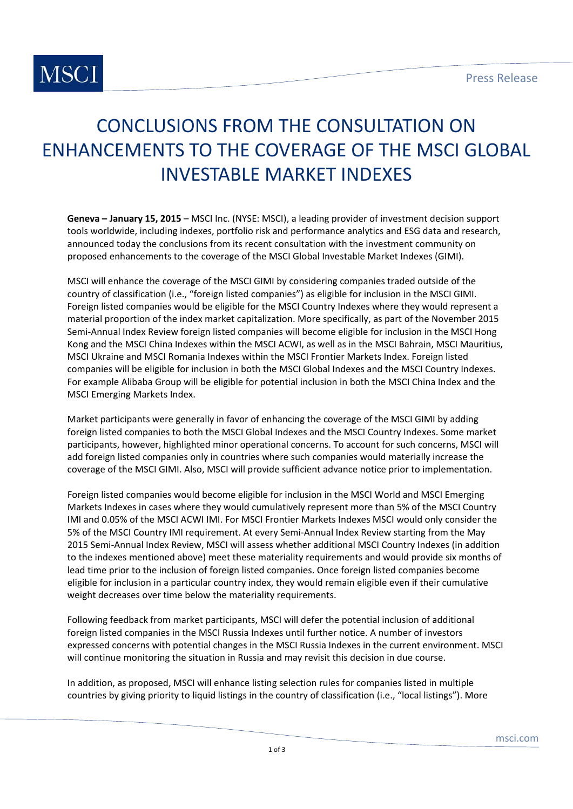

### CONCLUSIONS FROM THE CONSULTATION ON ENHANCEMENTS TO THE COVERAGE OF THE MSCI GLOBAL INVESTABLE MARKET INDEXES

**Geneva – January 15, 2015** – MSCI Inc. (NYSE: MSCI), a leading provider of investment decision support tools worldwide, including indexes, portfolio risk and performance analytics and ESG data and research, announced today the conclusions from its recent consultation with the investment community on proposed enhancements to the coverage of the MSCI Global Investable Market Indexes (GIMI).

MSCI will enhance the coverage of the MSCI GIMI by considering companies traded outside of the country of classification (i.e., "foreign listed companies") as eligible for inclusion in the MSCI GIMI. Foreign listed companies would be eligible for the MSCI Country Indexes where they would represent a material proportion of the index market capitalization. More specifically, as part of the November 2015 Semi‐Annual Index Review foreign listed companies will become eligible for inclusion in the MSCI Hong Kong and the MSCI China Indexes within the MSCI ACWI, as well as in the MSCI Bahrain, MSCI Mauritius, MSCI Ukraine and MSCI Romania Indexes within the MSCI Frontier Markets Index. Foreign listed companies will be eligible for inclusion in both the MSCI Global Indexes and the MSCI Country Indexes. For example Alibaba Group will be eligible for potential inclusion in both the MSCI China Index and the MSCI Emerging Markets Index.

Market participants were generally in favor of enhancing the coverage of the MSCI GIMI by adding foreign listed companies to both the MSCI Global Indexes and the MSCI Country Indexes. Some market participants, however, highlighted minor operational concerns. To account for such concerns, MSCI will add foreign listed companies only in countries where such companies would materially increase the coverage of the MSCI GIMI. Also, MSCI will provide sufficient advance notice prior to implementation.

Foreign listed companies would become eligible for inclusion in the MSCI World and MSCI Emerging Markets Indexes in cases where they would cumulatively represent more than 5% of the MSCI Country IMI and 0.05% of the MSCI ACWI IMI. For MSCI Frontier Markets Indexes MSCI would only consider the 5% of the MSCI Country IMI requirement. At every Semi‐Annual Index Review starting from the May 2015 Semi‐Annual Index Review, MSCI will assess whether additional MSCI Country Indexes (in addition to the indexes mentioned above) meet these materiality requirements and would provide six months of lead time prior to the inclusion of foreign listed companies. Once foreign listed companies become eligible for inclusion in a particular country index, they would remain eligible even if their cumulative weight decreases over time below the materiality requirements.

Following feedback from market participants, MSCI will defer the potential inclusion of additional foreign listed companies in the MSCI Russia Indexes until further notice. A number of investors expressed concerns with potential changes in the MSCI Russia Indexes in the current environment. MSCI will continue monitoring the situation in Russia and may revisit this decision in due course.

In addition, as proposed, MSCI will enhance listing selection rules for companies listed in multiple countries by giving priority to liquid listings in the country of classification (i.e., "local listings"). More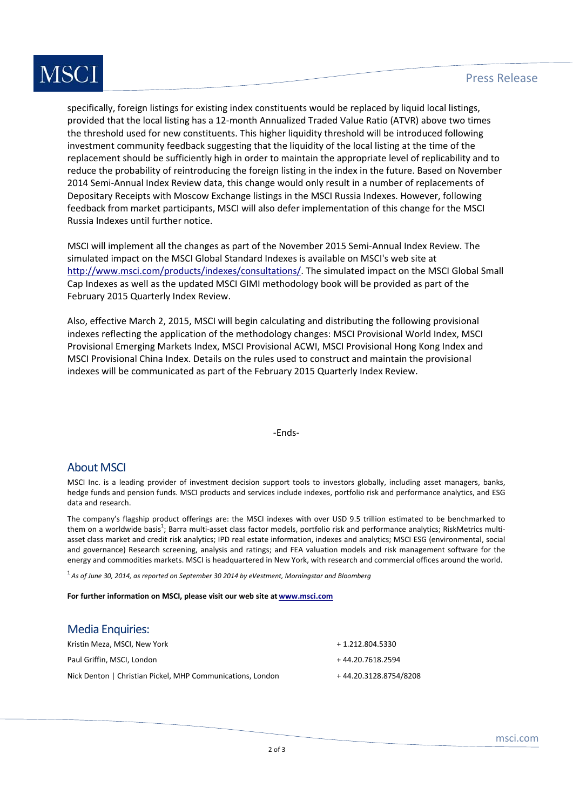# **MSCI**

specifically, foreign listings for existing index constituents would be replaced by liquid local listings, provided that the local listing has a 12‐month Annualized Traded Value Ratio (ATVR) above two times the threshold used for new constituents. This higher liquidity threshold will be introduced following investment community feedback suggesting that the liquidity of the local listing at the time of the replacement should be sufficiently high in order to maintain the appropriate level of replicability and to reduce the probability of reintroducing the foreign listing in the index in the future. Based on November 2014 Semi-Annual Index Review data, this change would only result in a number of replacements of Depositary Receipts with Moscow Exchange listings in the MSCI Russia Indexes. However, following feedback from market participants, MSCI will also defer implementation of this change for the MSCI Russia Indexes until further notice.

MSCI will implement all the changes as part of the November 2015 Semi‐Annual Index Review. The simulated impact on the MSCI Global Standard Indexes is available on MSCI's web site at http://www.msci.com/products/indexes/consultations/. The simulated impact on the MSCI Global Small Cap Indexes as well as the updated MSCI GIMI methodology book will be provided as part of the February 2015 Quarterly Index Review.

Also, effective March 2, 2015, MSCI will begin calculating and distributing the following provisional indexes reflecting the application of the methodology changes: MSCI Provisional World Index, MSCI Provisional Emerging Markets Index, MSCI Provisional ACWI, MSCI Provisional Hong Kong Index and MSCI Provisional China Index. Details on the rules used to construct and maintain the provisional indexes will be communicated as part of the February 2015 Quarterly Index Review.

‐Ends‐

#### About MSCI

MSCI Inc. is a leading provider of investment decision support tools to investors globally, including asset managers, banks, hedge funds and pension funds. MSCI products and services include indexes, portfolio risk and performance analytics, and ESG data and research.

The company's flagship product offerings are: the MSCI indexes with over USD 9.5 trillion estimated to be benchmarked to them on a worldwide basis<sup>1</sup>; Barra multi-asset class factor models, portfolio risk and performance analytics; RiskMetrics multiasset class market and credit risk analytics; IPD real estate information, indexes and analytics; MSCI ESG (environmental, social and governance) Research screening, analysis and ratings; and FEA valuation models and risk management software for the energy and commodities markets. MSCI is headquartered in New York, with research and commercial offices around the world.

1 *As of June 30, 2014, as reported on September 30 2014 by eVestment, Morningstar and Bloomberg*

**For further information on MSCI, please visit our web site at www.msci.com**

#### Media Enquiries:

| Kristin Meza, MSCI, New York                               | + 1.212.804.5330      |
|------------------------------------------------------------|-----------------------|
| Paul Griffin, MSCI, London                                 | +44.20.7618.2594      |
| Nick Denton   Christian Pickel, MHP Communications, London | +44.20.3128.8754/8208 |